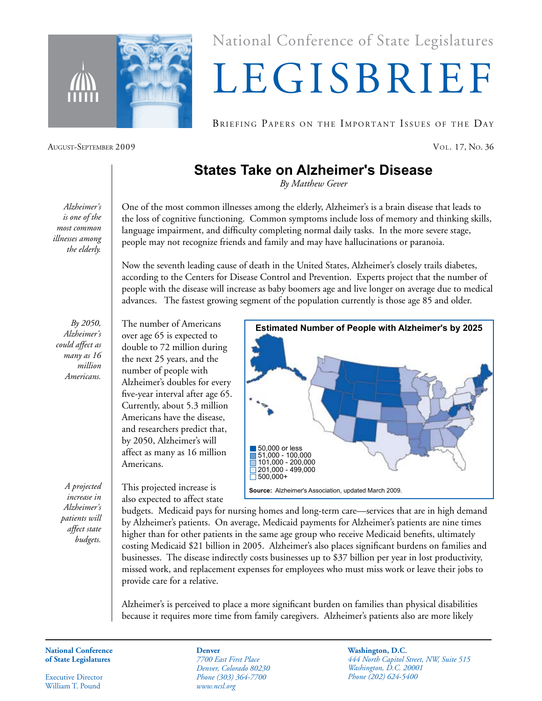

National Conference of State Legislatures

## LEGISBRIEF

BRIEFING PAPERS ON THE IMPORTANT ISSUES OF THE DAY

August-September 2009 Vol. 17, No. 36

## **States Take on Alzheimer's Disease**

*By Matthew Gever*

*Alzheimer's is one of the most common illnesses among the elderly.*

One of the most common illnesses among the elderly, Alzheimer's is a brain disease that leads to the loss of cognitive functioning. Common symptoms include loss of memory and thinking skills, language impairment, and difficulty completing normal daily tasks. In the more severe stage, people may not recognize friends and family and may have hallucinations or paranoia.

Now the seventh leading cause of death in the United States, Alzheimer's closely trails diabetes, according to the Centers for Disease Control and Prevention. Experts project that the number of people with the disease will increase as baby boomers age and live longer on average due to medical advances. The fastest growing segment of the population currently is those age 85 and older.

*By 2050, Alzheimer's could affect as many as 16 million Americans.*

*A projected increase in Alzheimer's patients will affect state budgets.*

The number of Americans over age 65 is expected to double to 72 million during the next 25 years, and the number of people with Alzheimer's doubles for every five-year interval after age 65. Currently, about 5.3 million Americans have the disease, and researchers predict that, by 2050, Alzheimer's will affect as many as 16 million Americans.

This projected increase is also expected to affect state



budgets. Medicaid pays for nursing homes and long-term care—services that are in high demand by Alzheimer's patients. On average, Medicaid payments for Alzheimer's patients are nine times higher than for other patients in the same age group who receive Medicaid benefits, ultimately costing Medicaid \$21 billion in 2005. Alzheimer's also places significant burdens on families and businesses. The disease indirectly costs businesses up to \$37 billion per year in lost productivity, missed work, and replacement expenses for employees who must miss work or leave their jobs to provide care for a relative.

Alzheimer's is perceived to place a more significant burden on families than physical disabilities because it requires more time from family caregivers. Alzheimer's patients also are more likely

**National Conference of State Legislatures**

Executive Director William T. Pound

**Denver** *7700 East First Place Denver, Colorado 80230 Phone (303) 364-7700 www.ncsl.org*

**Washington, D.C.** *444 North Capitol Street, NW, Suite 515 Washington, D.C. 20001 Phone (202) 624-5400*